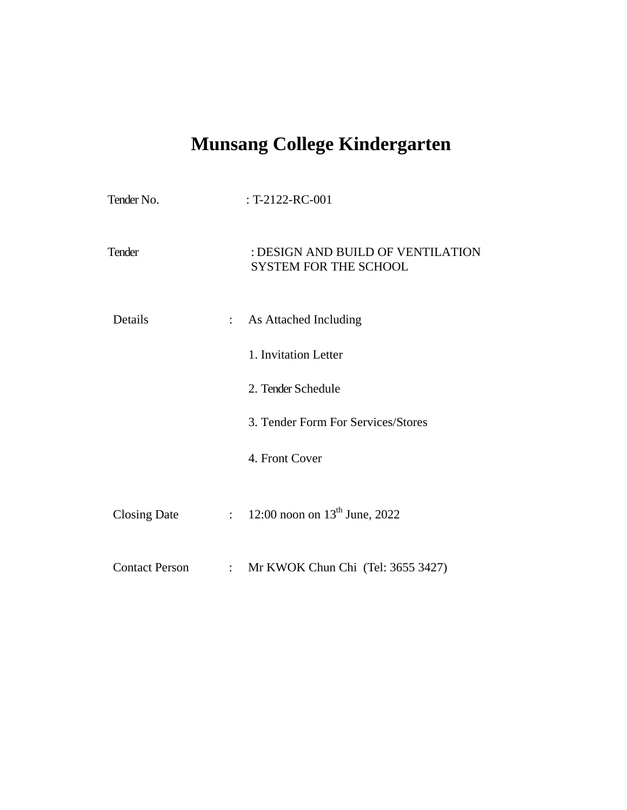# **Munsang College Kindergarten**

| Tender No.            |                            | : T-2122-RC-001                                                   |
|-----------------------|----------------------------|-------------------------------------------------------------------|
| Tender                |                            | : DESIGN AND BUILD OF VENTILATION<br><b>SYSTEM FOR THE SCHOOL</b> |
| Details               | $\mathbb{R}^{\mathbb{Z}}$  | As Attached Including                                             |
|                       |                            | 1. Invitation Letter                                              |
|                       |                            | 2. Tender Schedule                                                |
|                       |                            | 3. Tender Form For Services/Stores                                |
|                       |                            | 4. Front Cover                                                    |
| Closing Date          | $\mathbb{R}^{n \times n}$  | 12:00 noon on $13^{th}$ June, 2022                                |
| <b>Contact Person</b> | $\mathcal{L}^{\text{max}}$ | Mr KWOK Chun Chi (Tel: 3655 3427)                                 |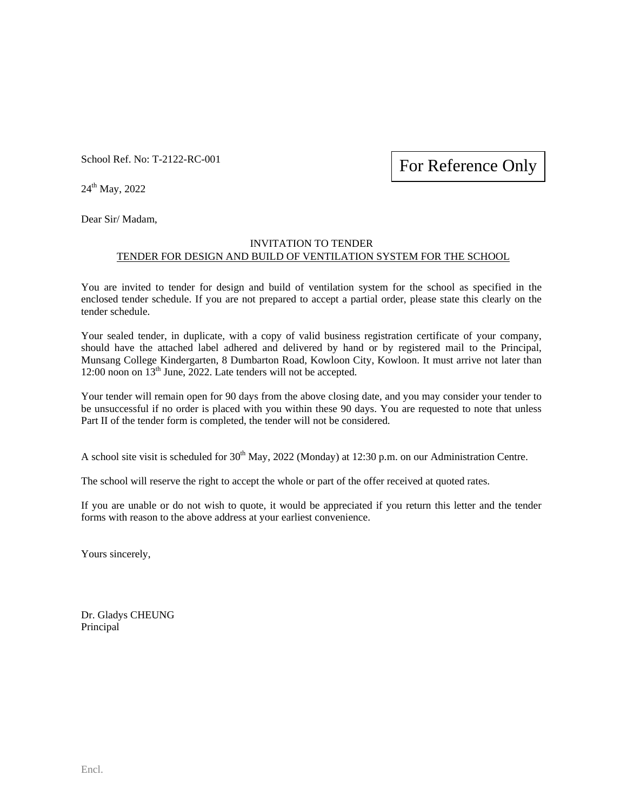School Ref. No: T-2122-RC-001

For Reference Only

24th May, 2022

Dear Sir/ Madam,

### INVITATION TO TENDER TENDER FOR DESIGN AND BUILD OF VENTILATION SYSTEM FOR THE SCHOOL

You are invited to tender for design and build of ventilation system for the school as specified in the enclosed tender schedule. If you are not prepared to accept a partial order, please state this clearly on the tender schedule.

Your sealed tender, in duplicate, with a copy of valid business registration certificate of your company, should have the attached label adhered and delivered by hand or by registered mail to the Principal, Munsang College Kindergarten, 8 Dumbarton Road, Kowloon City, Kowloon. It must arrive not later than 12:00 noon on 13<sup>th</sup> June, 2022. Late tenders will not be accepted.

Your tender will remain open for 90 days from the above closing date, and you may consider your tender to be unsuccessful if no order is placed with you within these 90 days. You are requested to note that unless Part II of the tender form is completed, the tender will not be considered.

A school site visit is scheduled for 30<sup>th</sup> May, 2022 (Monday) at 12:30 p.m. on our Administration Centre.

The school will reserve the right to accept the whole or part of the offer received at quoted rates.

If you are unable or do not wish to quote, it would be appreciated if you return this letter and the tender forms with reason to the above address at your earliest convenience.

Yours sincerely,

Dr. Gladys CHEUNG Principal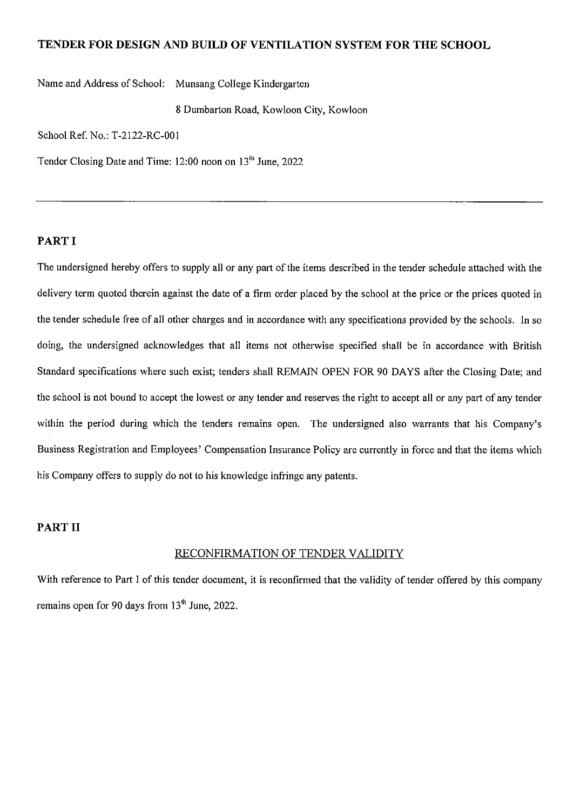### TENDER FOR DESIGN AND BUILD OF VENTILATION SYSTEM FOR THE SCHOOL

Name and Address of School: Munsang College Kindergarten

8 Dumbarton Road, Kowloon City, Kowloon

School Ref. No.: T-2122-RC-001

Tender Closing Date and Time: 12:00 noon on 13<sup>th</sup> June, 2022

### PART I

The undersigned hereby offers to supply all or any part of the items described in the tender schedule attached with the delivery term quoted therein against the date of a firm order placed by the school at the price or the prices quoted in the tender schedule free of all other charges and in accordance with any specifications provided by the schools. In so doing, the undersigned acknowledges that all items not otherwise specified shall be in accordance with British Standard specifications where such exist; tenders shall REMAIN OPEN FOR 90 DAYS after the Closing Date; and the school is not bound to accept the lowest or any tender and reserves the right to accept all or any part of any tender within the period during which the tenders remains open. The undersigned also warrants that his Company's Business Registration and Employees' Compensation Insurance Policy are currently in force and that the items which his Company offers to supply do not to his knowledge infringe any patents.

### **PART II**

### RECONFIRMATION OF TENDER VALIDITY

With reference to Part I of this tender document, it is reconfirmed that the validity of tender offered by this company remains open for 90 days from  $13<sup>th</sup>$  June, 2022.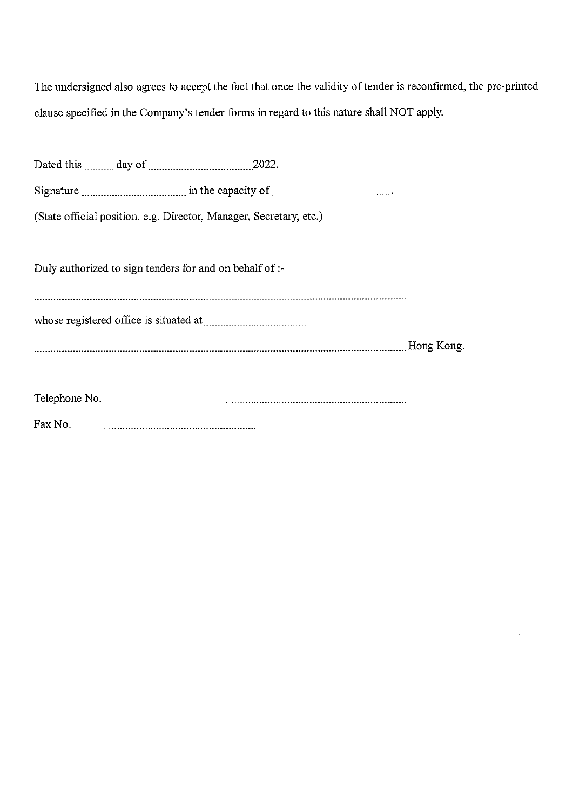The undersigned also agrees to accept the fact that once the validity of tender is reconfirmed, the pre-printed clause specified in the Company's tender forms in regard to this nature shall NOT apply.

| (State official position, e.g. Director, Manager, Secretary, etc.) |  |
|--------------------------------------------------------------------|--|
|                                                                    |  |
| Duly authorized to sign tenders for and on behalf of :-            |  |
|                                                                    |  |
|                                                                    |  |
|                                                                    |  |
|                                                                    |  |
|                                                                    |  |
|                                                                    |  |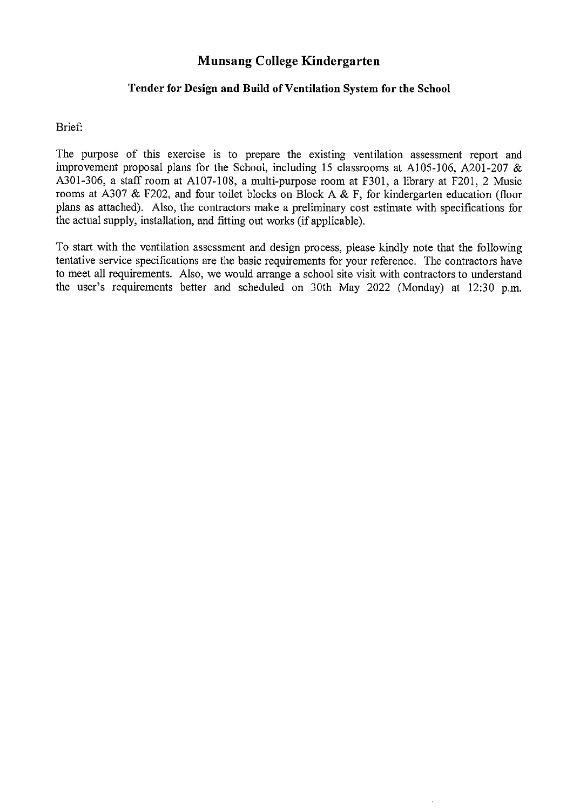### Munsang College Kindergarten

### Tender for Design and Build of Ventilation System for the School

Brief:

The purpose of this exercise is to prepare the existing ventilation assessment report and improvement proposal plans for the School, including 15 classrooms at A105-106, A201-207  $\&$ A301-306, a staff room at A107-108, a multi-purpose room at F301, a library at F201, 2 Music rooms at A307 & F202, and four toilet blocks on Block A & F, for kindergarten education (floor plans as attached). Also, the contractors make a preliminary cost estimate with specifications for the actual supply, installation, and fitting out works (if applicable).

To start with the ventilation assessment and design process, please kindly note that the following tentative service specifications are the basic requirements for your reference. The contractors have to meet all requirements. Also, we would arrange a school site visit with contractors to understand the user's requirements better and scheduled on 30th May 2022 (Monday) at 12:30 p.m.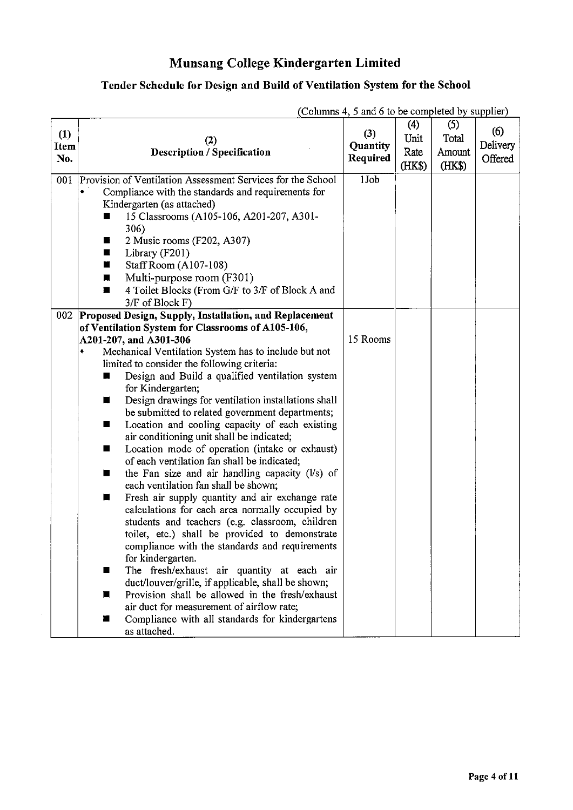## Munsang College Kindergarten Limited

## Tender Schedule for Design and Build of Ventilation System for the School

|                    |                                                                                                                                                                                                                                                                                                                                                                                                                                                                                                                                                                                                                                                                                                                                                                                                                                                                                                                                                                                                                                                                                                                                                                                                                                                                | (Columns 4, 5 and 6 to be completed by supplier) |                               |                                  |                            |
|--------------------|----------------------------------------------------------------------------------------------------------------------------------------------------------------------------------------------------------------------------------------------------------------------------------------------------------------------------------------------------------------------------------------------------------------------------------------------------------------------------------------------------------------------------------------------------------------------------------------------------------------------------------------------------------------------------------------------------------------------------------------------------------------------------------------------------------------------------------------------------------------------------------------------------------------------------------------------------------------------------------------------------------------------------------------------------------------------------------------------------------------------------------------------------------------------------------------------------------------------------------------------------------------|--------------------------------------------------|-------------------------------|----------------------------------|----------------------------|
| (1)<br>Item<br>No. | (2)<br><b>Description / Specification</b>                                                                                                                                                                                                                                                                                                                                                                                                                                                                                                                                                                                                                                                                                                                                                                                                                                                                                                                                                                                                                                                                                                                                                                                                                      | (3)<br>Quantity<br>Required                      | (4)<br>Unit<br>Rate<br>(HK\$) | (5)<br>Total<br>Amount<br>(HK\$) | (6)<br>Delivery<br>Offered |
| 001                | Provision of Ventilation Assessment Services for the School<br>Compliance with the standards and requirements for<br>Kindergarten (as attached)<br>15 Classrooms (A105-106, A201-207, A301-<br>306)<br>2 Music rooms (F202, A307)<br>Б<br>Library (F201)<br>ш<br>Staff Room (A107-108)<br>П<br>Multi-purpose room (F301)<br>п<br>4 Toilet Blocks (From G/F to 3/F of Block A and<br>п<br>3/F of Block F)                                                                                                                                                                                                                                                                                                                                                                                                                                                                                                                                                                                                                                                                                                                                                                                                                                                       | 1Job                                             |                               |                                  |                            |
| 002                | Proposed Design, Supply, Installation, and Replacement<br>of Ventilation System for Classrooms of A105-106,<br>A201-207, and A301-306<br>Mechanical Ventilation System has to include but not<br>limited to consider the following criteria:<br>Design and Build a qualified ventilation system<br>for Kindergarten;<br>Design drawings for ventilation installations shall<br>ш<br>be submitted to related government departments;<br>Location and cooling capacity of each existing<br>ш<br>air conditioning unit shall be indicated;<br>Location mode of operation (intake or exhaust)<br>ш<br>of each ventilation fan shall be indicated;<br>the Fan size and air handling capacity (Vs) of<br>$\blacksquare$<br>each ventilation fan shall be shown;<br>Fresh air supply quantity and air exchange rate<br>ш<br>calculations for each area normally occupied by<br>students and teachers (e.g. classroom, children<br>toilet, etc.) shall be provided to demonstrate<br>compliance with the standards and requirements<br>for kindergarten.<br>The fresh/exhaust air quantity at each air<br>ш<br>duct/louver/grille, if applicable, shall be shown;<br>Provision shall be allowed in the fresh/exhaust<br>ш<br>air duct for measurement of airflow rate; | 15 Rooms                                         |                               |                                  |                            |
|                    | Compliance with all standards for kindergartens<br>ш<br>as attached.                                                                                                                                                                                                                                                                                                                                                                                                                                                                                                                                                                                                                                                                                                                                                                                                                                                                                                                                                                                                                                                                                                                                                                                           |                                                  |                               |                                  |                            |

(Columns 4, 5 and 6 to be completed by supplier)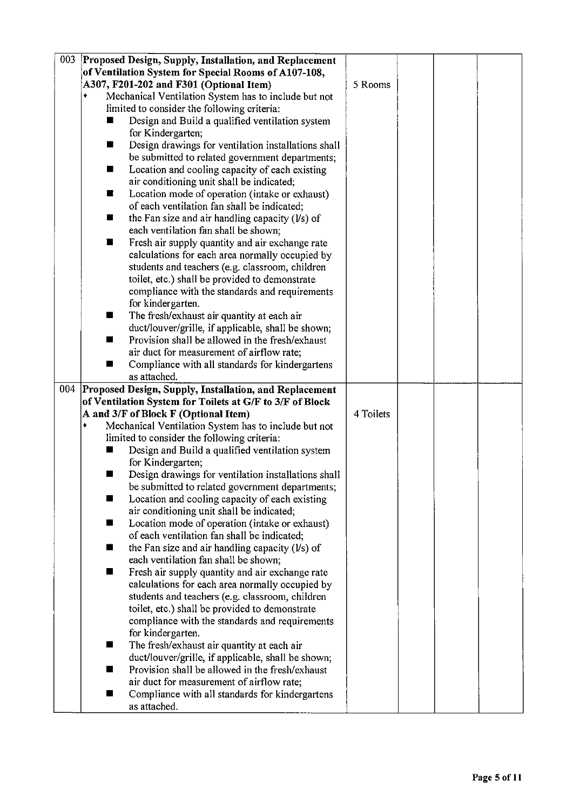| 003 | Proposed Design, Supply, Installation, and Replacement           |           |  |  |
|-----|------------------------------------------------------------------|-----------|--|--|
|     | of Ventilation System for Special Rooms of A107-108,             |           |  |  |
|     | A307, F201-202 and F301 (Optional Item)                          | 5 Rooms   |  |  |
|     |                                                                  |           |  |  |
|     | Mechanical Ventilation System has to include but not             |           |  |  |
|     | limited to consider the following criteria:                      |           |  |  |
|     | Design and Build a qualified ventilation system                  |           |  |  |
|     | for Kindergarten;                                                |           |  |  |
|     | Design drawings for ventilation installations shall<br>ш         |           |  |  |
|     | be submitted to related government departments;                  |           |  |  |
|     | Location and cooling capacity of each existing<br>ш              |           |  |  |
|     | air conditioning unit shall be indicated;                        |           |  |  |
|     | Location mode of operation (intake or exhaust)<br>$\blacksquare$ |           |  |  |
|     | of each ventilation fan shall be indicated;                      |           |  |  |
|     | the Fan size and air handling capacity (l/s) of<br>■             |           |  |  |
|     | each ventilation fan shall be shown;                             |           |  |  |
|     | Fresh air supply quantity and air exchange rate<br>ш             |           |  |  |
|     | calculations for each area normally occupied by                  |           |  |  |
|     | students and teachers (e.g. classroom, children                  |           |  |  |
|     | toilet, etc.) shall be provided to demonstrate                   |           |  |  |
|     | compliance with the standards and requirements                   |           |  |  |
|     | for kindergarten.                                                |           |  |  |
|     | The fresh/exhaust air quantity at each air<br>■                  |           |  |  |
|     | duct/louver/grille, if applicable, shall be shown;               |           |  |  |
|     | Provision shall be allowed in the fresh/exhaust<br>ш             |           |  |  |
|     | air duct for measurement of airflow rate;                        |           |  |  |
|     | Compliance with all standards for kindergartens                  |           |  |  |
|     | as attached.                                                     |           |  |  |
| 004 | Proposed Design, Supply, Installation, and Replacement           |           |  |  |
|     | of Ventilation System for Toilets at G/F to 3/F of Block         |           |  |  |
|     | A and 3/F of Block F (Optional Item)                             | 4 Toilets |  |  |
|     | Mechanical Ventilation System has to include but not             |           |  |  |
|     | limited to consider the following criteria:                      |           |  |  |
|     | Design and Build a qualified ventilation system                  |           |  |  |
|     | for Kindergarten;                                                |           |  |  |
|     | Design drawings for ventilation installations shall<br>ш         |           |  |  |
|     | be submitted to related government departments;                  |           |  |  |
|     | Location and cooling capacity of each existing<br>ш              |           |  |  |
|     | air conditioning unit shall be indicated;                        |           |  |  |
|     | Location mode of operation (intake or exhaust)<br>ш              |           |  |  |
|     | of each ventilation fan shall be indicated;                      |           |  |  |
|     | the Fan size and air handling capacity $(Vs)$ of<br>ш            |           |  |  |
|     | each ventilation fan shall be shown;                             |           |  |  |
|     | Fresh air supply quantity and air exchange rate                  |           |  |  |
|     | calculations for each area normally occupied by                  |           |  |  |
|     | students and teachers (e.g. classroom, children                  |           |  |  |
|     | toilet, etc.) shall be provided to demonstrate                   |           |  |  |
|     | compliance with the standards and requirements                   |           |  |  |
|     | for kindergarten.                                                |           |  |  |
|     | The fresh/exhaust air quantity at each air<br>ш                  |           |  |  |
|     | duct/louver/grille, if applicable, shall be shown;               |           |  |  |
|     | Provision shall be allowed in the fresh/exhaust                  |           |  |  |
|     | air duct for measurement of airflow rate;                        |           |  |  |
|     |                                                                  |           |  |  |
|     | Compliance with all standards for kindergartens<br>ш             |           |  |  |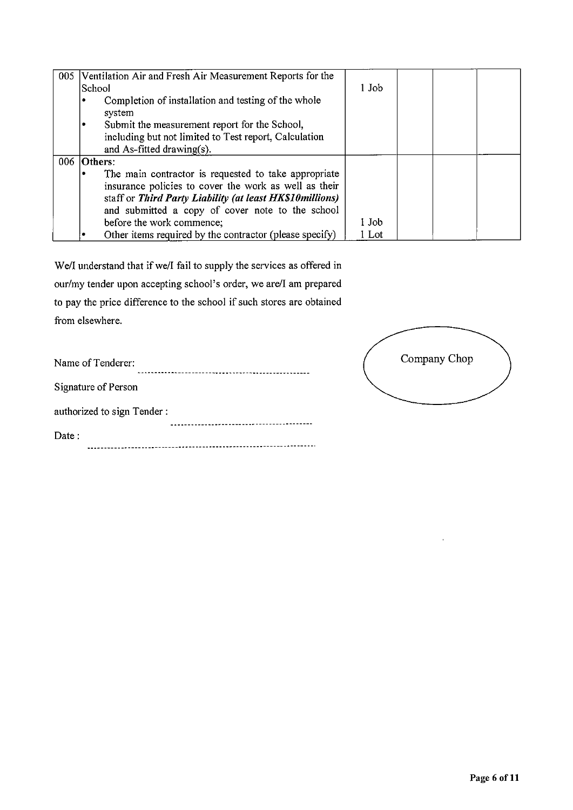| 005 Ventilation Air and Fresh Air Measurement Reports for the |       |  |  |
|---------------------------------------------------------------|-------|--|--|
| School                                                        | 1 Job |  |  |
| Completion of installation and testing of the whole           |       |  |  |
| system                                                        |       |  |  |
| Submit the measurement report for the School,<br>٠            |       |  |  |
| including but not limited to Test report, Calculation         |       |  |  |
| and As-fitted drawing(s).                                     |       |  |  |
| 006 Others:                                                   |       |  |  |
| The main contractor is requested to take appropriate          |       |  |  |
| insurance policies to cover the work as well as their         |       |  |  |
| staff or Third Party Liability (at least HK\$10millions)      |       |  |  |
| and submitted a copy of cover note to the school              |       |  |  |
| before the work commence;                                     | 1 Job |  |  |
| Other items required by the contractor (please specify)       | 1 Lot |  |  |

We/I understand that if we/I fail to supply the services as offered in our/my tender upon accepting school's order, we are/I am prepared to pay the price difference to the school if such stores are obtained from elsewhere.

| Name of Tenderer:          |
|----------------------------|
| Signature of Person        |
| authorized to sign Tender: |
| Date:                      |
|                            |



 $\bar{1}$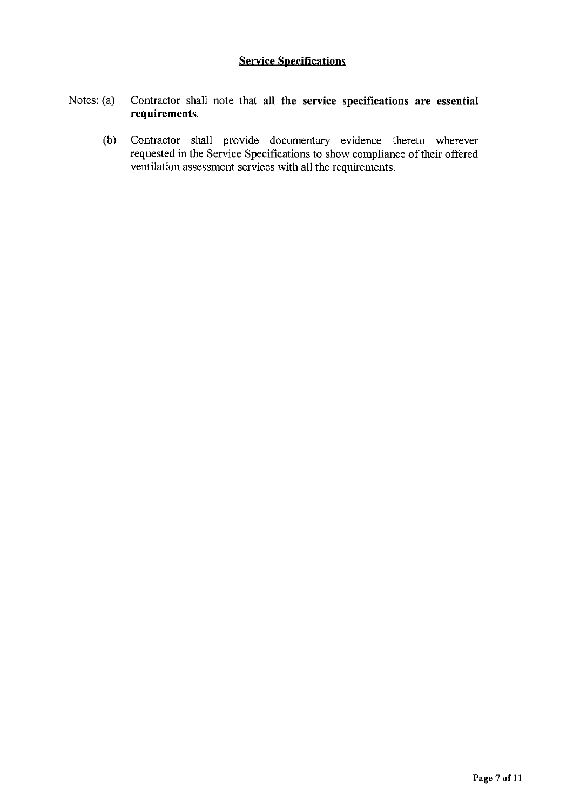### **Service Specifications**

#### Notes: (a) Contractor shall note that all the service specifications are essential requirements.

 $(b)$ Contractor shall provide documentary evidence thereto wherever requested in the Service Specifications to show compliance of their offered ventilation assessment services with all the requirements.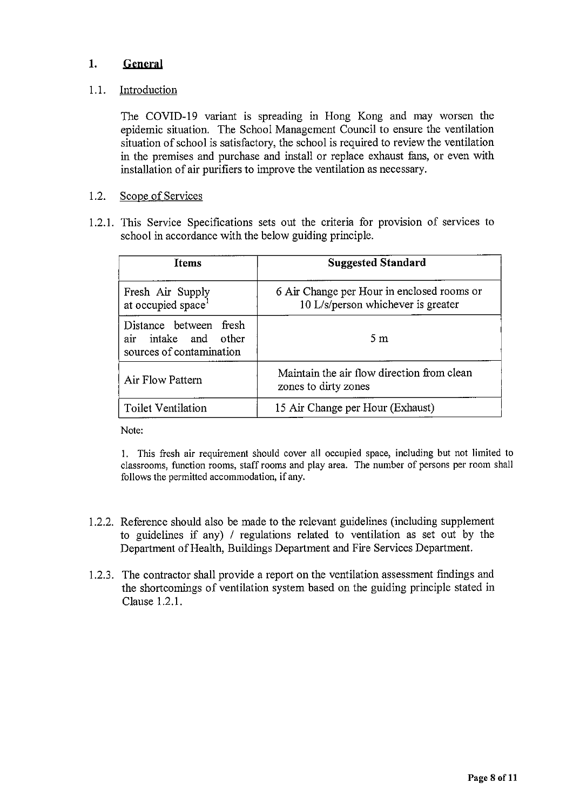#### $1.$ General

#### $1.1.$ Introduction

The COVID-19 variant is spreading in Hong Kong and may worsen the epidemic situation. The School Management Council to ensure the ventilation situation of school is satisfactory, the school is required to review the ventilation in the premises and purchase and install or replace exhaust fans, or even with installation of air purifiers to improve the ventilation as necessary.

#### $1.2.$ Scope of Services

1.2.1. This Service Specifications sets out the criteria for provision of services to school in accordance with the below guiding principle.

| <b>Items</b>                                                               | <b>Suggested Standard</b>                                                        |
|----------------------------------------------------------------------------|----------------------------------------------------------------------------------|
| Fresh Air Supply<br>at occupied space <sup>1</sup>                         | 6 Air Change per Hour in enclosed rooms or<br>10 L/s/person whichever is greater |
| Distance between fresh<br>air intake and other<br>sources of contamination | 5m                                                                               |
| Air Flow Pattern                                                           | Maintain the air flow direction from clean<br>zones to dirty zones               |
| <b>Toilet Ventilation</b>                                                  | 15 Air Change per Hour (Exhaust)                                                 |

Note:

1. This fresh air requirement should cover all occupied space, including but not limited to classrooms, function rooms, staff rooms and play area. The number of persons per room shall follows the permitted accommodation, if any.

- 1.2.2. Reference should also be made to the relevant guidelines (including supplement to guidelines if any) / regulations related to ventilation as set out by the Department of Health, Buildings Department and Fire Services Department.
- 1.2.3. The contractor shall provide a report on the ventilation assessment findings and the shortcomings of ventilation system based on the guiding principle stated in Clause 1.2.1.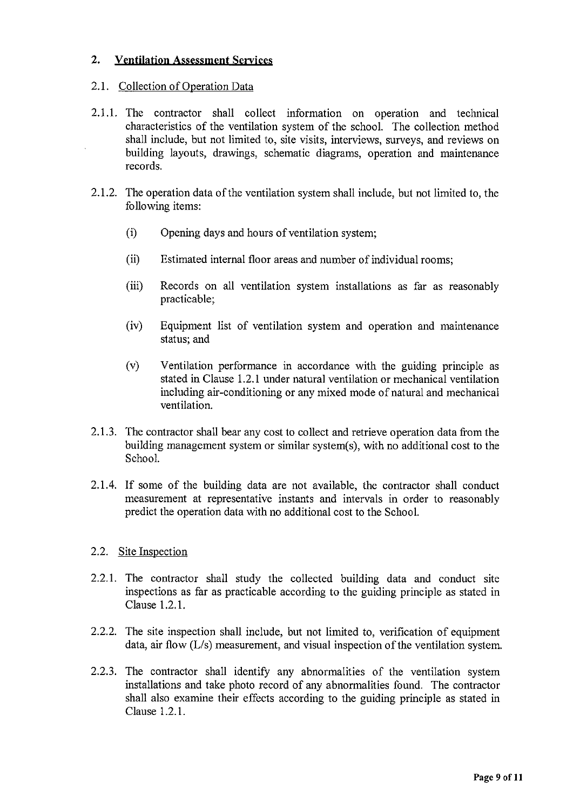#### $2.$ **Ventilation Assessment Services**

### 2.1. Collection of Operation Data

- 2.1.1. The contractor shall collect information on operation and technical characteristics of the ventilation system of the school. The collection method shall include, but not limited to, site visits, interviews, surveys, and reviews on building layouts, drawings, schematic diagrams, operation and maintenance records.
- 2.1.2. The operation data of the ventilation system shall include, but not limited to, the following items:
	- $(i)$ Opening days and hours of ventilation system;
	- $(ii)$ Estimated internal floor areas and number of individual rooms;
	- $(iii)$ Records on all ventilation system installations as far as reasonably practicable;
	- $(iv)$ Equipment list of ventilation system and operation and maintenance status; and
	- $(v)$ Ventilation performance in accordance with the guiding principle as stated in Clause 1.2.1 under natural ventilation or mechanical ventilation including air-conditioning or any mixed mode of natural and mechanical ventilation.
- 2.1.3. The contractor shall bear any cost to collect and retrieve operation data from the building management system or similar system(s), with no additional cost to the School.
- 2.1.4. If some of the building data are not available, the contractor shall conduct measurement at representative instants and intervals in order to reasonably predict the operation data with no additional cost to the School.

### 2.2. Site Inspection

- 2.2.1. The contractor shall study the collected building data and conduct site inspections as far as practicable according to the guiding principle as stated in Clause 1.2.1.
- 2.2.2. The site inspection shall include, but not limited to, verification of equipment data, air flow  $(L/s)$  measurement, and visual inspection of the ventilation system.
- 2.2.3. The contractor shall identify any abnormalities of the ventilation system installations and take photo record of any abnormalities found. The contractor shall also examine their effects according to the guiding principle as stated in Clause 1.2.1.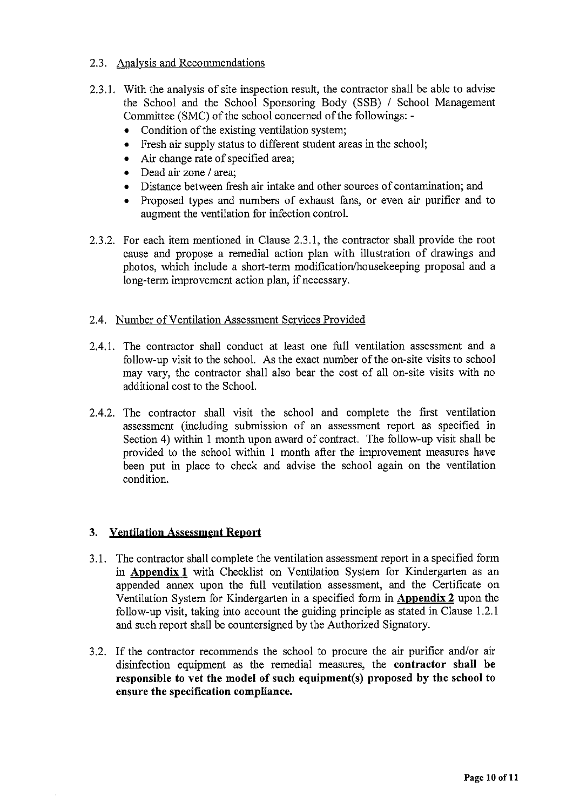### 2.3. Analysis and Recommendations

- 2.3.1. With the analysis of site inspection result, the contractor shall be able to advise the School and the School Sponsoring Body (SSB) / School Management Committee (SMC) of the school concerned of the followings: -
	- Condition of the existing ventilation system;
	- Fresh air supply status to different student areas in the school;
	- Air change rate of specified area;
	- Dead air zone / area:
	- Distance between fresh air intake and other sources of contamination; and
	- Proposed types and numbers of exhaust fans, or even air purifier and to augment the ventilation for infection control.
- 2.3.2. For each item mentioned in Clause 2.3.1, the contractor shall provide the root cause and propose a remedial action plan with illustration of drawings and photos, which include a short-term modification/housekeeping proposal and a long-term improvement action plan, if necessary.
- 2.4. Number of Ventilation Assessment Services Provided
- 2.4.1. The contractor shall conduct at least one full ventilation assessment and a follow-up visit to the school. As the exact number of the on-site visits to school may vary, the contractor shall also bear the cost of all on-site visits with no additional cost to the School.
- 2.4.2. The contractor shall visit the school and complete the first ventilation assessment (including submission of an assessment report as specified in Section 4) within 1 month upon award of contract. The follow-up visit shall be provided to the school within 1 month after the improvement measures have been put in place to check and advise the school again on the ventilation condition.

### 3. Ventilation Assessment Report

- 3.1. The contractor shall complete the ventilation assessment report in a specified form in Appendix 1 with Checklist on Ventilation System for Kindergarten as an appended annex upon the full ventilation assessment, and the Certificate on Ventilation System for Kindergarten in a specified form in Appendix 2 upon the follow-up visit, taking into account the guiding principle as stated in Clause 1.2.1 and such report shall be countersigned by the Authorized Signatory.
- 3.2. If the contractor recommends the school to procure the air purifier and/or air disinfection equipment as the remedial measures, the contractor shall be responsible to vet the model of such equipment(s) proposed by the school to ensure the specification compliance.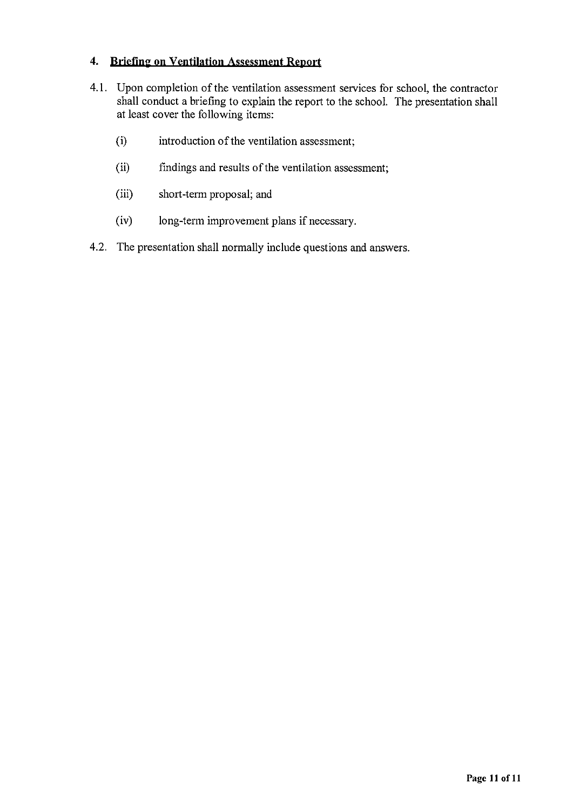### 4. Briefing on Ventilation Assessment Report

- 4.1. Upon completion of the ventilation assessment services for school, the contractor shall conduct a briefing to explain the report to the school. The presentation shall at least cover the following items:
	- $(i)$ introduction of the ventilation assessment;
	- $(ii)$ findings and results of the ventilation assessment;
	- $(iii)$ short-term proposal; and
	- $(iv)$ long-term improvement plans if necessary.
- 4.2. The presentation shall normally include questions and answers.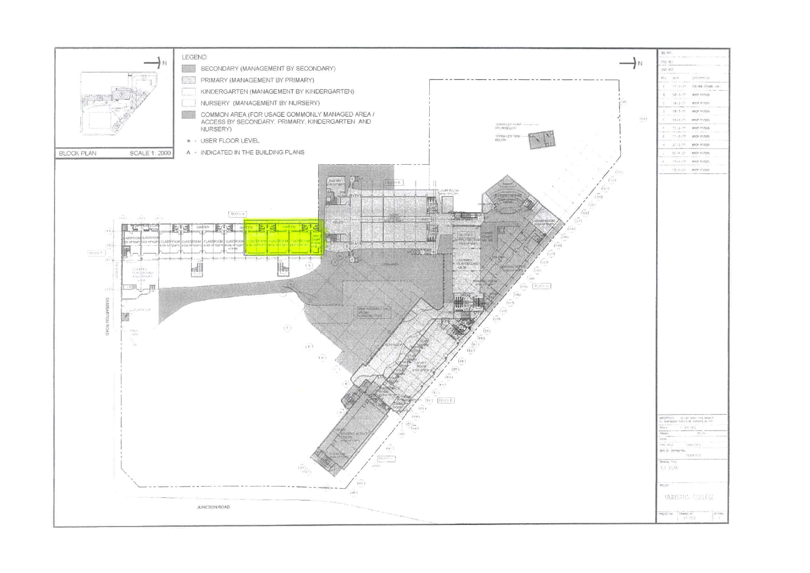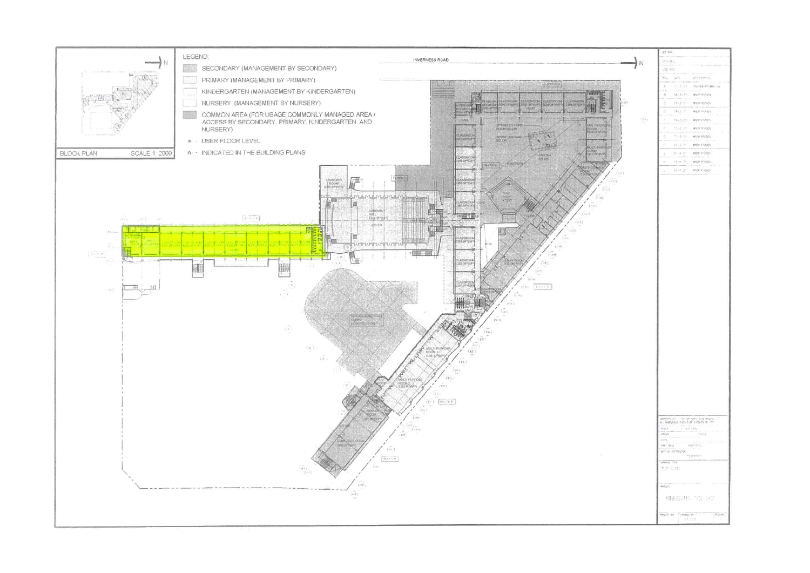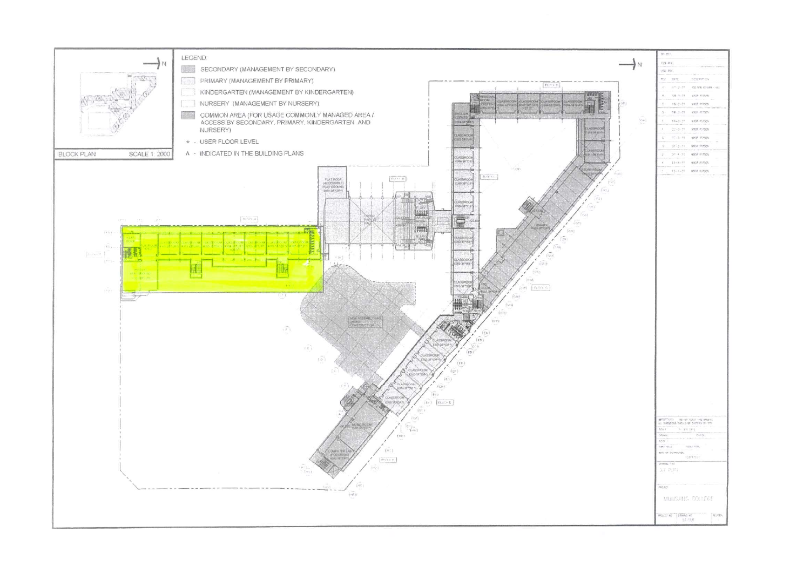